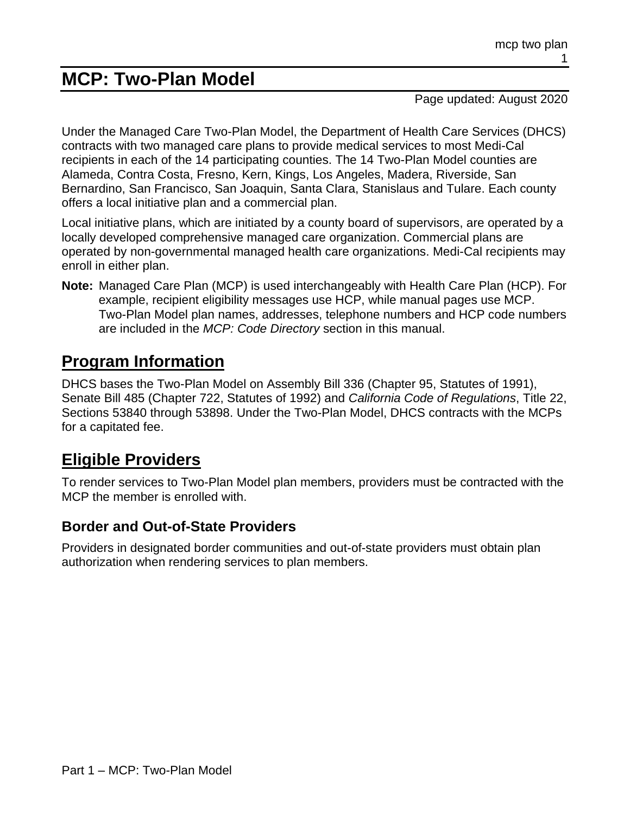# **MCP: Two-Plan Model**

Page updated: August 2020

Under the Managed Care Two-Plan Model, the Department of Health Care Services (DHCS) contracts with two managed care plans to provide medical services to most Medi-Cal recipients in each of the 14 participating counties. The 14 Two-Plan Model counties are Alameda, Contra Costa, Fresno, Kern, Kings, Los Angeles, Madera, Riverside, San Bernardino, San Francisco, San Joaquin, Santa Clara, Stanislaus and Tulare. Each county offers a local initiative plan and a commercial plan.

Local initiative plans, which are initiated by a county board of supervisors, are operated by a locally developed comprehensive managed care organization. Commercial plans are operated by non-governmental managed health care organizations. Medi-Cal recipients may enroll in either plan.

**Note:** Managed Care Plan (MCP) is used interchangeably with Health Care Plan (HCP). For example, recipient eligibility messages use HCP, while manual pages use MCP. Two-Plan Model plan names, addresses, telephone numbers and HCP code numbers are included in the *MCP: Code Directory* section in this manual.

## **Program Information**

DHCS bases the Two-Plan Model on Assembly Bill 336 (Chapter 95, Statutes of 1991), Senate Bill 485 (Chapter 722, Statutes of 1992) and *California Code of Regulations*, Title 22, Sections 53840 through 53898. Under the Two-Plan Model, DHCS contracts with the MCPs for a capitated fee.

## **Eligible Providers**

To render services to Two-Plan Model plan members, providers must be contracted with the MCP the member is enrolled with.

### **Border and Out-of-State Providers**

Providers in designated border communities and out-of-state providers must obtain plan authorization when rendering services to plan members.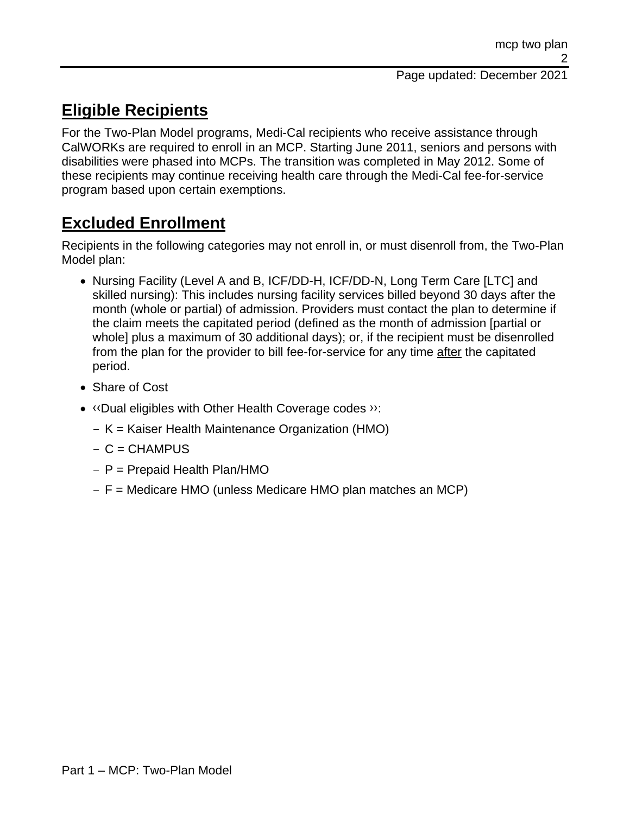# **Eligible Recipients**

For the Two-Plan Model programs, Medi-Cal recipients who receive assistance through CalWORKs are required to enroll in an MCP. Starting June 2011, seniors and persons with disabilities were phased into MCPs. The transition was completed in May 2012. Some of these recipients may continue receiving health care through the Medi-Cal fee-for-service program based upon certain exemptions.

# **Excluded Enrollment**

Recipients in the following categories may not enroll in, or must disenroll from, the Two-Plan Model plan:

- Nursing Facility (Level A and B, ICF/DD-H, ICF/DD-N, Long Term Care [LTC] and skilled nursing): This includes nursing facility services billed beyond 30 days after the month (whole or partial) of admission. Providers must contact the plan to determine if the claim meets the capitated period (defined as the month of admission [partial or whole] plus a maximum of 30 additional days); or, if the recipient must be disenrolled from the plan for the provider to bill fee-for-service for any time after the capitated period.
- Share of Cost
- [‹‹D](#page-14-0)ual eligibles with Other Health Coverage codes [››:](#page-14-1)
	- K = Kaiser Health Maintenance Organization (HMO)
	- $-C = CHAMPUS$
	- $P$  = Prepaid Health Plan/HMO
	- $-$  F = Medicare HMO (unless Medicare HMO plan matches an MCP)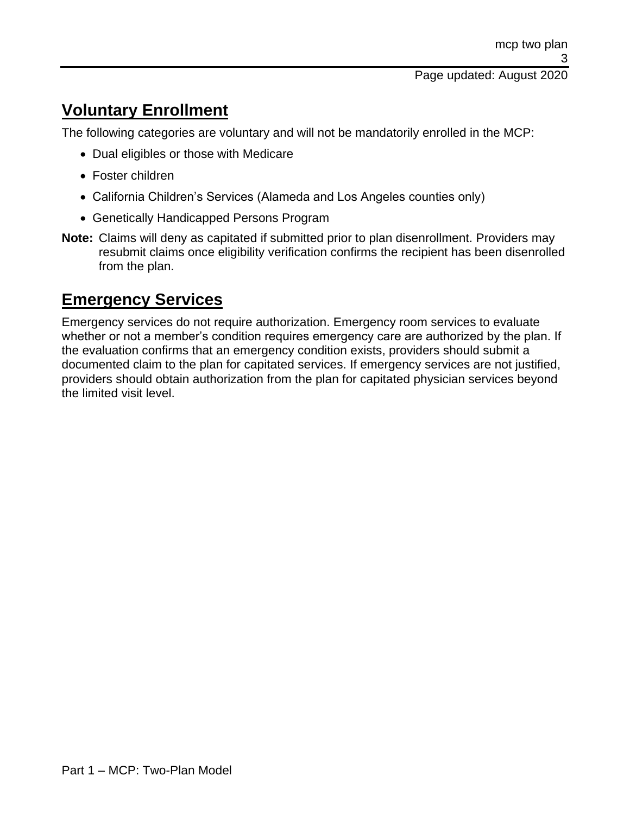#### Page updated: August 2020

# **Voluntary Enrollment**

The following categories are voluntary and will not be mandatorily enrolled in the MCP:

- Dual eligibles or those with Medicare
- Foster children
- California Children's Services (Alameda and Los Angeles counties only)
- Genetically Handicapped Persons Program
- **Note:** Claims will deny as capitated if submitted prior to plan disenrollment. Providers may resubmit claims once eligibility verification confirms the recipient has been disenrolled from the plan.

## **Emergency Services**

Emergency services do not require authorization. Emergency room services to evaluate whether or not a member's condition requires emergency care are authorized by the plan. If the evaluation confirms that an emergency condition exists, providers should submit a documented claim to the plan for capitated services. If emergency services are not justified, providers should obtain authorization from the plan for capitated physician services beyond the limited visit level.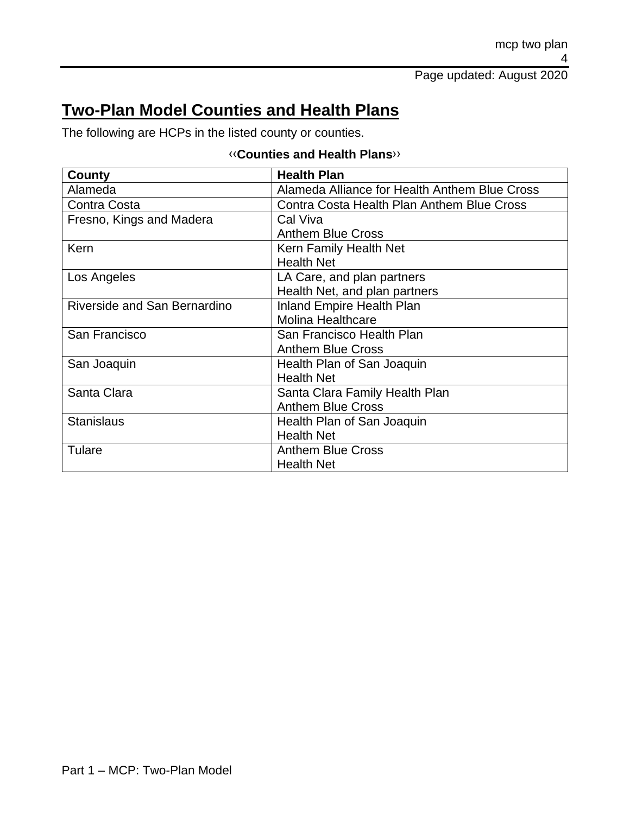## **Two-Plan Model Counties and Health Plans**

The following are HCPs in the listed county or counties.

| County                       | <b>Health Plan</b>                            |
|------------------------------|-----------------------------------------------|
| Alameda                      | Alameda Alliance for Health Anthem Blue Cross |
| Contra Costa                 | Contra Costa Health Plan Anthem Blue Cross    |
| Fresno, Kings and Madera     | Cal Viva                                      |
|                              | <b>Anthem Blue Cross</b>                      |
| Kern                         | Kern Family Health Net                        |
|                              | <b>Health Net</b>                             |
| Los Angeles                  | LA Care, and plan partners                    |
|                              | Health Net, and plan partners                 |
| Riverside and San Bernardino | <b>Inland Empire Health Plan</b>              |
|                              | <b>Molina Healthcare</b>                      |
| San Francisco                | San Francisco Health Plan                     |
|                              | <b>Anthem Blue Cross</b>                      |
| San Joaquin                  | Health Plan of San Joaquin                    |
|                              | <b>Health Net</b>                             |
| Santa Clara                  | Santa Clara Family Health Plan                |
|                              | <b>Anthem Blue Cross</b>                      |
| <b>Stanislaus</b>            | Health Plan of San Joaquin                    |
|                              | <b>Health Net</b>                             |
| Tulare                       | <b>Anthem Blue Cross</b>                      |
|                              | <b>Health Net</b>                             |

#### [‹‹](#page-14-0)**Counties and Health Plans**[››](#page-14-1)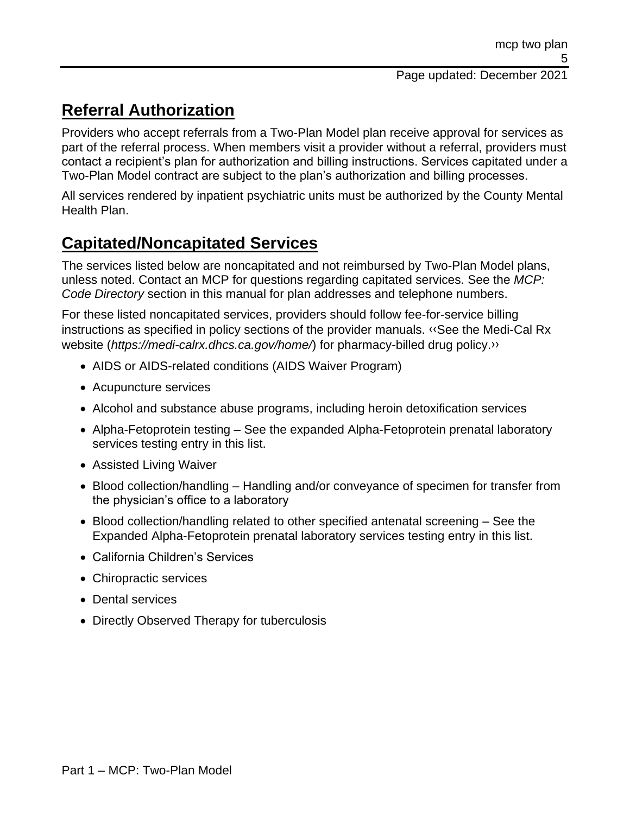#### Page updated: December 2021

# **Referral Authorization**

Providers who accept referrals from a Two-Plan Model plan receive approval for services as part of the referral process. When members visit a provider without a referral, providers must contact a recipient's plan for authorization and billing instructions. Services capitated under a Two-Plan Model contract are subject to the plan's authorization and billing processes.

All services rendered by inpatient psychiatric units must be authorized by the County Mental Health Plan.

## **Capitated/Noncapitated Services**

The services listed below are noncapitated and not reimbursed by Two-Plan Model plans, unless noted. Contact an MCP for questions regarding capitated services. See the *MCP: Code Directory* section in this manual for plan addresses and telephone numbers.

For these listed noncapitated services, providers should follow fee-for-service billing instructions as specified in policy sections of the provider manuals. [‹‹S](#page-14-0)ee the Medi-Cal Rx website (*https://medi-calrx.dhcs.ca.gov/home/*) for pharmacy-billed drug policy[.››](#page-14-1)

- AIDS or AIDS-related conditions (AIDS Waiver Program)
- Acupuncture services
- Alcohol and substance abuse programs, including heroin detoxification services
- Alpha-Fetoprotein testing See the expanded Alpha-Fetoprotein prenatal laboratory services testing entry in this list.
- Assisted Living Waiver
- Blood collection/handling Handling and/or conveyance of specimen for transfer from the physician's office to a laboratory
- Blood collection/handling related to other specified antenatal screening See the Expanded Alpha-Fetoprotein prenatal laboratory services testing entry in this list.
- California Children's Services
- Chiropractic services
- Dental services
- Directly Observed Therapy for tuberculosis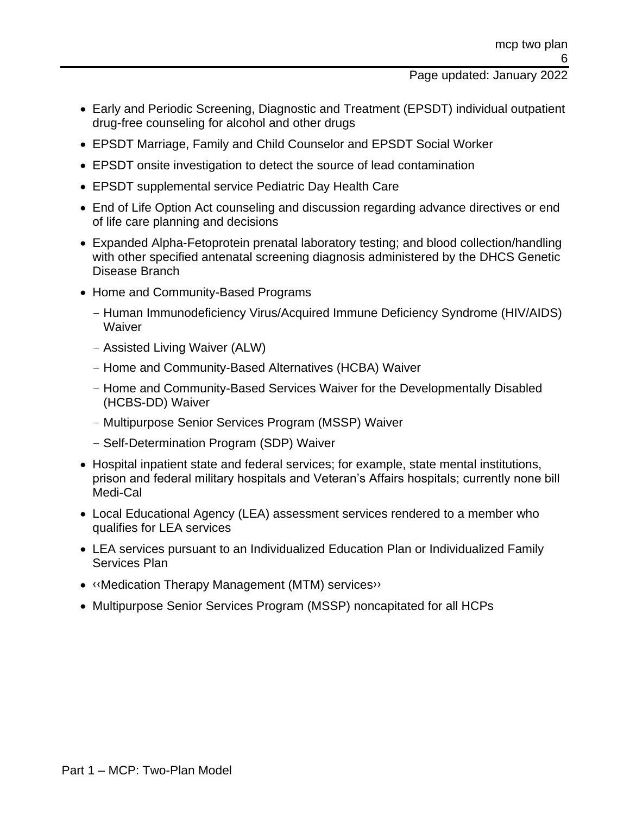#### Page updated: January 2022

- Early and Periodic Screening, Diagnostic and Treatment (EPSDT) individual outpatient drug-free counseling for alcohol and other drugs
- EPSDT Marriage, Family and Child Counselor and EPSDT Social Worker
- EPSDT onsite investigation to detect the source of lead contamination
- EPSDT supplemental service Pediatric Day Health Care
- End of Life Option Act counseling and discussion regarding advance directives or end of life care planning and decisions
- Expanded Alpha-Fetoprotein prenatal laboratory testing; and blood collection/handling with other specified antenatal screening diagnosis administered by the DHCS Genetic Disease Branch
- Home and Community-Based Programs
	- Human Immunodeficiency Virus/Acquired Immune Deficiency Syndrome (HIV/AIDS) **Waiver**
	- Assisted Living Waiver (ALW)
	- Home and Community-Based Alternatives (HCBA) Waiver
	- Home and Community-Based Services Waiver for the Developmentally Disabled (HCBS-DD) Waiver
	- Multipurpose Senior Services Program (MSSP) Waiver
	- Self-Determination Program (SDP) Waiver
- Hospital inpatient state and federal services; for example, state mental institutions, prison and federal military hospitals and Veteran's Affairs hospitals; currently none bill Medi-Cal
- Local Educational Agency (LEA) assessment services rendered to a member who qualifies for LEA services
- LEA services pursuant to an Individualized Education Plan or Individualized Family Services Plan
- [‹‹M](#page-14-0)edication Therapy Management (MTM) service[s››](#page-14-1)
- Multipurpose Senior Services Program (MSSP) noncapitated for all HCPs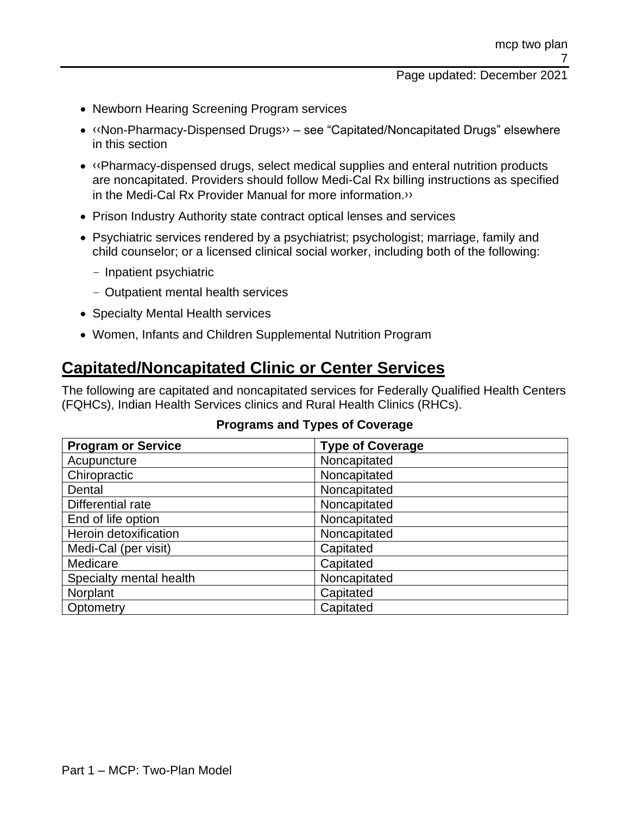#### Page updated: December 2021

- Newborn Hearing Screening Program services
- [‹‹N](#page-14-0)on-Pharmacy-Dispensed Drug[s››](#page-14-1) see "Capitated/Noncapitated Drugs" elsewhere in this section
- [‹‹P](#page-14-0)harmacy-dispensed drugs, select medical supplies and enteral nutrition products are noncapitated. Providers should follow Medi-Cal Rx billing instructions as specified in the Medi-Cal Rx Provider Manual for more information[.››](#page-14-1)
- Prison Industry Authority state contract optical lenses and services
- Psychiatric services rendered by a psychiatrist; psychologist; marriage, family and child counselor; or a licensed clinical social worker, including both of the following:
	- Inpatient psychiatric
	- Outpatient mental health services
- Specialty Mental Health services
- Women, Infants and Children Supplemental Nutrition Program

### **Capitated/Noncapitated Clinic or Center Services**

The following are capitated and noncapitated services for Federally Qualified Health Centers (FQHCs), Indian Health Services clinics and Rural Health Clinics (RHCs).

| <b>Program or Service</b> | <b>Type of Coverage</b> |
|---------------------------|-------------------------|
| Acupuncture               | Noncapitated            |
| Chiropractic              | Noncapitated            |
| Dental                    | Noncapitated            |
| Differential rate         | Noncapitated            |
| End of life option        | Noncapitated            |
| Heroin detoxification     | Noncapitated            |
| Medi-Cal (per visit)      | Capitated               |
| Medicare                  | Capitated               |
| Specialty mental health   | Noncapitated            |
| Norplant                  | Capitated               |
| Optometry                 | Capitated               |

#### **Programs and Types of Coverage**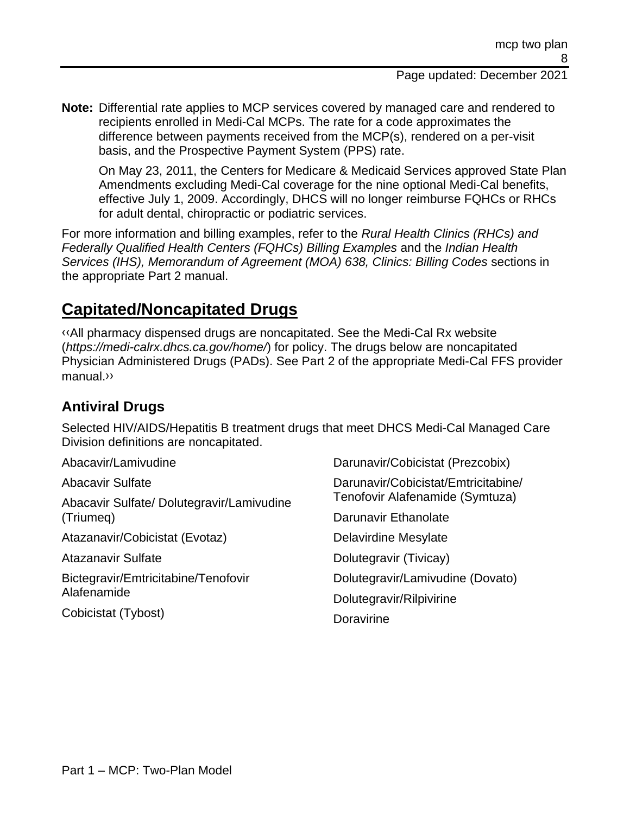#### Page updated: December 2021

**Note:** Differential rate applies to MCP services covered by managed care and rendered to recipients enrolled in Medi-Cal MCPs. The rate for a code approximates the difference between payments received from the MCP(s), rendered on a per-visit basis, and the Prospective Payment System (PPS) rate.

On May 23, 2011, the Centers for Medicare & Medicaid Services approved State Plan Amendments excluding Medi-Cal coverage for the nine optional Medi-Cal benefits, effective July 1, 2009. Accordingly, DHCS will no longer reimburse FQHCs or RHCs for adult dental, chiropractic or podiatric services.

For more information and billing examples, refer to the *Rural Health Clinics (RHCs) and Federally Qualified Health Centers (FQHCs) Billing Examples* and the *Indian Health*  Services (IHS), Memorandum of Agreement (MOA) 638, Clinics: Billing Codes sections in the appropriate Part 2 manual.

## **Capitated/Noncapitated Drugs**

[‹‹A](#page-14-0)ll pharmacy dispensed drugs are noncapitated. See the Medi-Cal Rx website (*https://medi-calrx.dhcs.ca.gov/home/*) for policy. The drugs below are noncapitated Physician Administered Drugs (PADs). See Part 2 of the appropriate Medi-Cal FFS provider manual[.››](#page-14-1)

### **Antiviral Drugs**

Selected HIV/AIDS/Hepatitis B treatment drugs that meet DHCS Medi-Cal Managed Care Division definitions are noncapitated.

| Abacavir/Lamivudine                      | Darunavir/Cobicistat (Prezcobix)    |
|------------------------------------------|-------------------------------------|
| <b>Abacavir Sulfate</b>                  | Darunavir/Cobicistat/Emtricitabine/ |
| Abacavir Sulfate/Dolutegravir/Lamivudine | Tenofovir Alafenamide (Symtuza)     |
| (Triumeg)                                | Darunavir Ethanolate                |
| Atazanavir/Cobicistat (Evotaz)           | Delavirdine Mesylate                |
| <b>Atazanavir Sulfate</b>                | Dolutegravir (Tivicay)              |
| Bictegravir/Emtricitabine/Tenofovir      | Dolutegravir/Lamivudine (Dovato)    |
| Alafenamide                              | Dolutegravir/Rilpivirine            |
| Cobicistat (Tybost)                      |                                     |
|                                          | Doravirine                          |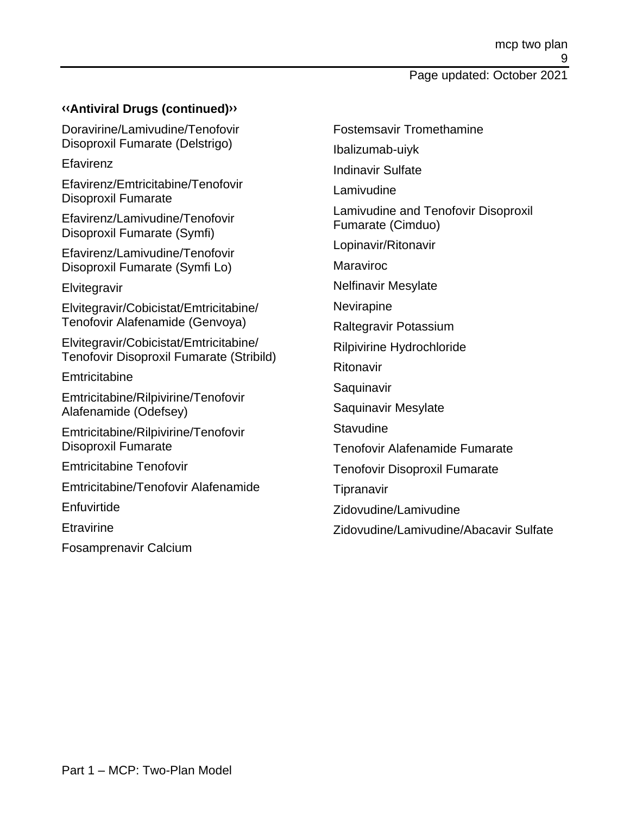#### Page updated: October 2021

#### **[‹‹A](#page-14-0)ntiviral Drugs (continued[\)››](#page-14-1)**

Doravirine/Lamivudine/Tenofovir Disoproxil Fumarate (Delstrigo)

**Efavirenz** 

Efavirenz/Emtricitabine/Tenofovir Disoproxil Fumarate

Efavirenz/Lamivudine/Tenofovir Disoproxil Fumarate (Symfi)

Efavirenz/Lamivudine/Tenofovir Disoproxil Fumarate (Symfi Lo)

Elvitegravir

Elvitegravir/Cobicistat/Emtricitabine/ Tenofovir Alafenamide (Genvoya)

Elvitegravir/Cobicistat/Emtricitabine/ Tenofovir Disoproxil Fumarate (Stribild)

**Emtricitabine** 

Emtricitabine/Rilpivirine/Tenofovir Alafenamide (Odefsey)

Emtricitabine/Rilpivirine/Tenofovir Disoproxil Fumarate

Emtricitabine Tenofovir

Emtricitabine/Tenofovir Alafenamide

**Enfuvirtide** 

**Etravirine** 

Fosamprenavir Calcium

Fostemsavir Tromethamine Ibalizumab-uiyk Indinavir Sulfate Lamivudine Lamivudine and Tenofovir Disoproxil Fumarate (Cimduo) Lopinavir/Ritonavir **Maraviroc** Nelfinavir Mesylate **Nevirapine** Raltegravir Potassium Rilpivirine Hydrochloride **Ritonavir** Saquinavir Saquinavir Mesylate **Stavudine** Tenofovir Alafenamide Fumarate Tenofovir Disoproxil Fumarate **Tipranavir** Zidovudine/Lamivudine Zidovudine/Lamivudine/Abacavir Sulfate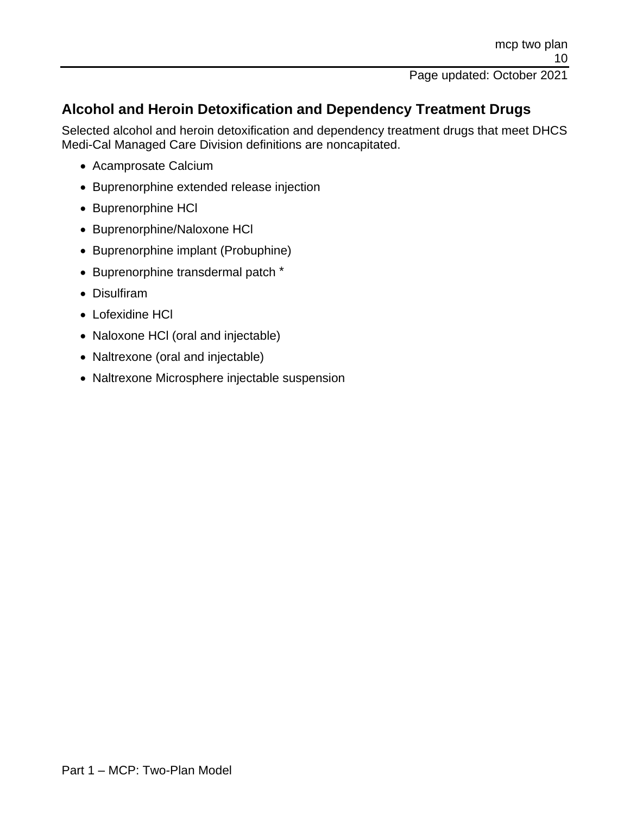### **Alcohol and Heroin Detoxification and Dependency Treatment Drugs**

Selected alcohol and heroin detoxification and dependency treatment drugs that meet DHCS Medi-Cal Managed Care Division definitions are noncapitated.

- Acamprosate Calcium
- Buprenorphine extended release injection
- Buprenorphine HCl
- Buprenorphine/Naloxone HCl
- Buprenorphine implant (Probuphine)
- Buprenorphine transdermal patch [\\*](#page-14-2)
- Disulfiram
- Lofexidine HCl
- Naloxone HCI (oral and injectable)
- Naltrexone (oral and injectable)
- Naltrexone Microsphere injectable suspension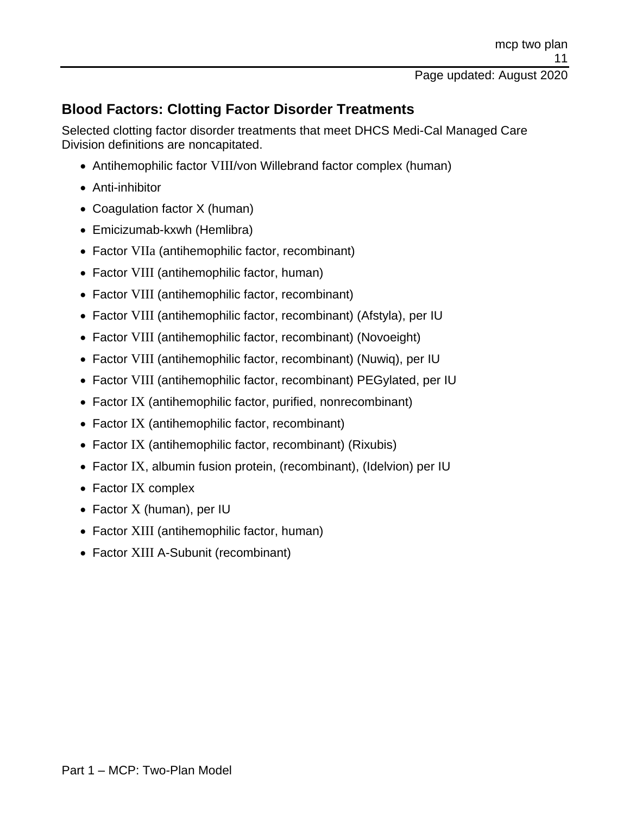### **Blood Factors: Clotting Factor Disorder Treatments**

Selected clotting factor disorder treatments that meet DHCS Medi-Cal Managed Care Division definitions are noncapitated.

- Antihemophilic factor VIII/von Willebrand factor complex (human)
- Anti-inhibitor
- Coagulation factor X (human)
- Emicizumab-kxwh (Hemlibra)
- Factor VIIa (antihemophilic factor, recombinant)
- Factor VIII (antihemophilic factor, human)
- Factor VIII (antihemophilic factor, recombinant)
- Factor VIII (antihemophilic factor, recombinant) (Afstyla), per IU
- Factor VIII (antihemophilic factor, recombinant) (Novoeight)
- Factor VIII (antihemophilic factor, recombinant) (Nuwiq), per IU
- Factor VIII (antihemophilic factor, recombinant) PEGylated, per IU
- Factor IX (antihemophilic factor, purified, nonrecombinant)
- Factor IX (antihemophilic factor, recombinant)
- Factor IX (antihemophilic factor, recombinant) (Rixubis)
- Factor IX, albumin fusion protein, (recombinant), (Idelvion) per IU
- Factor IX complex
- Factor X (human), per IU
- Factor XIII (antihemophilic factor, human)
- Factor XIII A-Subunit (recombinant)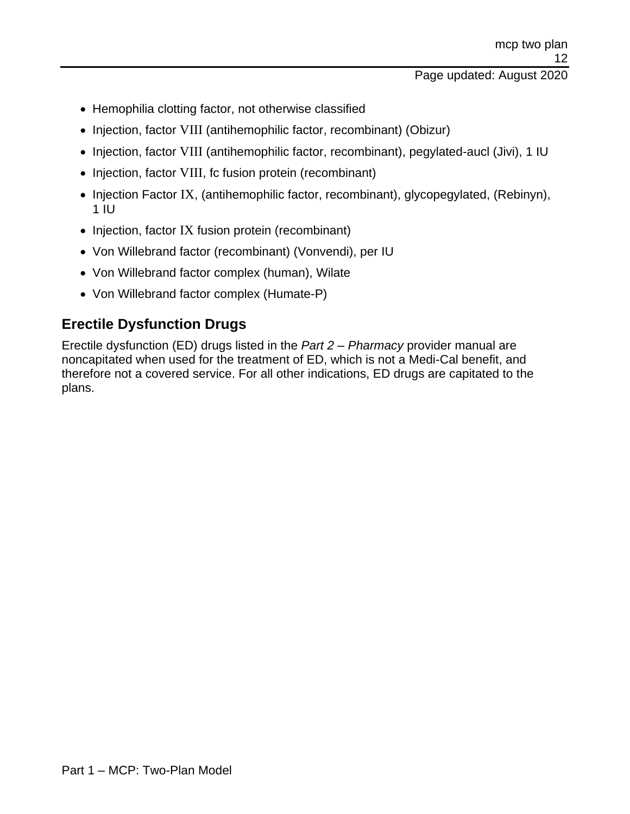#### Page updated: August 2020

- Hemophilia clotting factor, not otherwise classified
- Injection, factor VIII (antihemophilic factor, recombinant) (Obizur)
- Injection, factor VIII (antihemophilic factor, recombinant), pegylated-aucl (Jivi), 1 IU
- Injection, factor VIII, fc fusion protein (recombinant)
- Injection Factor IX, (antihemophilic factor, recombinant), glycopegylated, (Rebinyn), 1 IU
- Injection, factor IX fusion protein (recombinant)
- Von Willebrand factor (recombinant) (Vonvendi), per IU
- Von Willebrand factor complex (human), Wilate
- Von Willebrand factor complex (Humate-P)

### **Erectile Dysfunction Drugs**

Erectile dysfunction (ED) drugs listed in the *Part 2 – Pharmacy* provider manual are noncapitated when used for the treatment of ED, which is not a Medi-Cal benefit, and therefore not a covered service. For all other indications, ED drugs are capitated to the plans.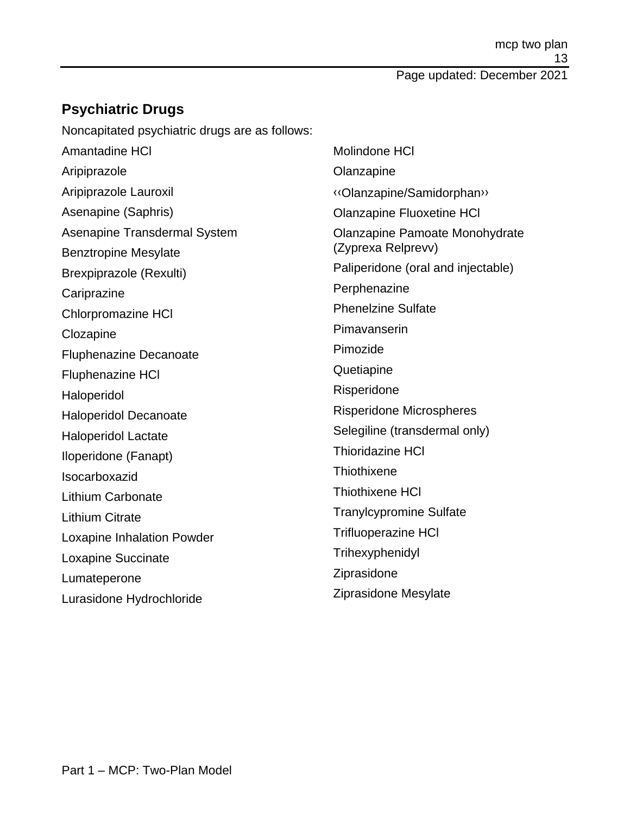mcp two plan 13

Page updated: December 2021

### **Psychiatric Drugs**

Noncapitated psychiatric drugs are as follows:

Amantadine HCl Aripiprazole Aripiprazole Lauroxil Asenapine (Saphris) Asenapine Transdermal System Benztropine Mesylate Brexpiprazole (Rexulti) **Cariprazine** Chlorpromazine HCl **Clozapine** Fluphenazine Decanoate Fluphenazine HCl Haloperidol Haloperidol Decanoate Haloperidol Lactate Iloperidone (Fanapt) Isocarboxazid Lithium Carbonate Lithium Citrate Loxapine Inhalation Powder Loxapine Succinate Lumateperone Lurasidone Hydrochloride

Molindone HCl **Olanzapine** [‹‹O](#page-14-0)lanzapine/Samidorpha[n››](#page-14-1) Olanzapine Fluoxetine HCl Olanzapine Pamoate Monohydrate (Zyprexa Relprevv) Paliperidone (oral and injectable) Perphenazine Phenelzine Sulfate Pimavanserin Pimozide **Quetiapine** Risperidone Risperidone Microspheres Selegiline (transdermal only) Thioridazine HCl **Thiothixene** Thiothixene HCl Tranylcypromine Sulfate Trifluoperazine HCl **Trihexyphenidyl** Ziprasidone Ziprasidone Mesylate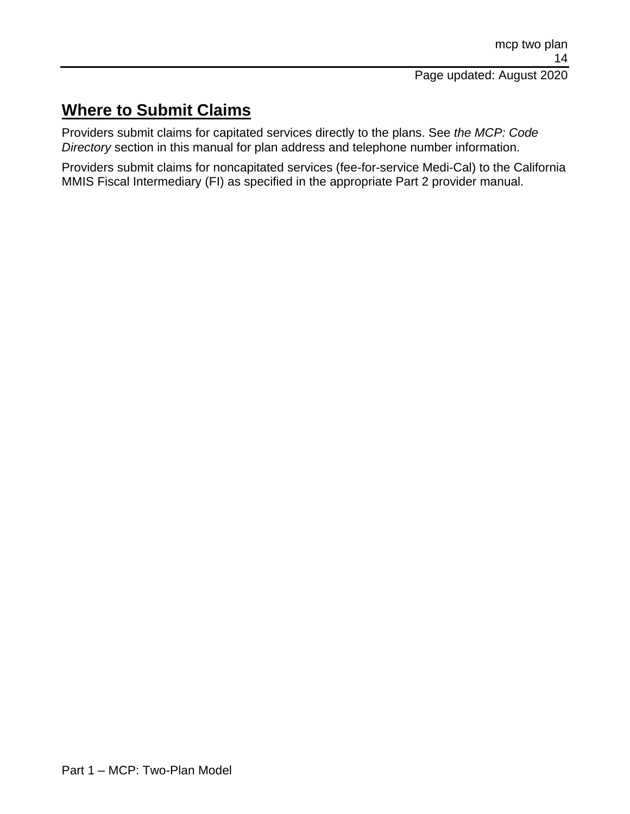## **Where to Submit Claims**

Providers submit claims for capitated services directly to the plans. See *the MCP: Code Directory* section in this manual for plan address and telephone number information.

Providers submit claims for noncapitated services (fee-for-service Medi-Cal) to the California MMIS Fiscal Intermediary (FI) as specified in the appropriate Part 2 provider manual.